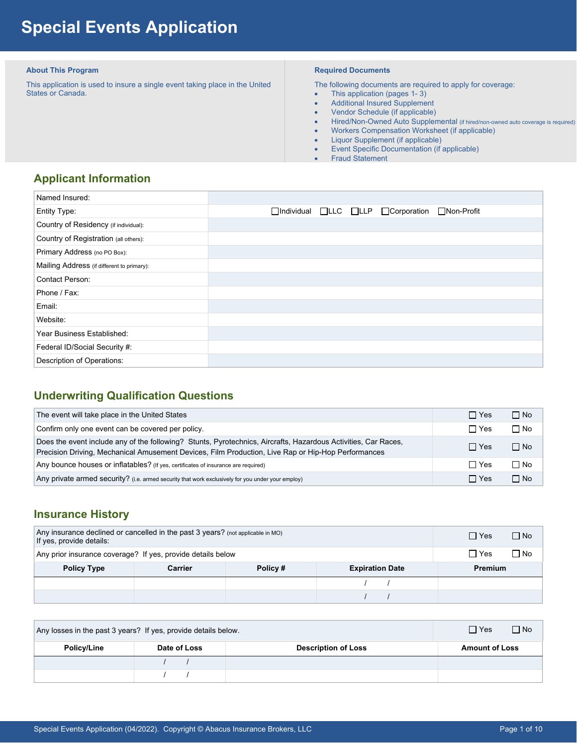# **Special Events Application**

#### **About This Program**

 This application is used to insure a single event taking place in the United States or Canada.

#### **Required Documents**

The following documents are required to apply for coverage:

- This application (pages 1-3)
- Additional Insured Supplement
- Vendor Schedule (if applicable)
- Hired/Non-Owned Auto Supplemental (if hired/non-owned auto coverage is required)
- Workers Compensation Worksheet (if applicable)
- Liquor Supplement (if applicable)
- Event Specific Documentation (if applicable)
- Fraud Statement

# **Applicant Information**

| Named Insured:                             |                                                  |  |
|--------------------------------------------|--------------------------------------------------|--|
| Entity Type:                               | □Individual □LLC □LLP □ Corporation □ Non-Profit |  |
| Country of Residency (if individual):      |                                                  |  |
| Country of Registration (all others):      |                                                  |  |
| Primary Address (no PO Box):               |                                                  |  |
| Mailing Address (if different to primary): |                                                  |  |
| Contact Person:                            |                                                  |  |
| Phone / Fax:                               |                                                  |  |
| Email:                                     |                                                  |  |
| Website:                                   |                                                  |  |
| Year Business Established:                 |                                                  |  |
| Federal ID/Social Security #:              |                                                  |  |
| Description of Operations:                 |                                                  |  |

# **Underwriting Qualification Questions**

| The event will take place in the United States                                                                                                                                                                       | $\Box$ Yes | $\Box$ No |
|----------------------------------------------------------------------------------------------------------------------------------------------------------------------------------------------------------------------|------------|-----------|
| Confirm only one event can be covered per policy.                                                                                                                                                                    | $\Box$ Yes | $\Box$ No |
| Does the event include any of the following? Stunts, Pyrotechnics, Aircrafts, Hazardous Activities, Car Races,<br>Precision Driving, Mechanical Amusement Devices, Film Production, Live Rap or Hip-Hop Performances | $\Box$ Yes | $\Box$ No |
| Any bounce houses or inflatables? (If yes, certificates of insurance are required)                                                                                                                                   | $\Box$ Yes | $\Box$ No |
| Any private armed security? (i.e. armed security that work exclusively for you under your employ)                                                                                                                    | $\Box$ Yes | $\Box$ No |

# **Insurance History**

| Any insurance declined or cancelled in the past $3$ years? (not applicable in MO)<br>If yes, provide details: | $\Box$ No<br>$\Box$ Yes                      |  |  |  |  |
|---------------------------------------------------------------------------------------------------------------|----------------------------------------------|--|--|--|--|
| Any prior insurance coverage? If yes, provide details below                                                   | ∩ No<br>$\Box$ Yes                           |  |  |  |  |
| <b>Policy Type</b>                                                                                            | Policy#<br>Carrier<br><b>Expiration Date</b> |  |  |  |  |
|                                                                                                               |                                              |  |  |  |  |
|                                                                                                               |                                              |  |  |  |  |

| Any losses in the past 3 years? If yes, provide details below. |              |                            | $\Box$ Yes            | $\Box$ No |
|----------------------------------------------------------------|--------------|----------------------------|-----------------------|-----------|
| Policy/Line                                                    | Date of Loss | <b>Description of Loss</b> | <b>Amount of Loss</b> |           |
|                                                                |              |                            |                       |           |
|                                                                |              |                            |                       |           |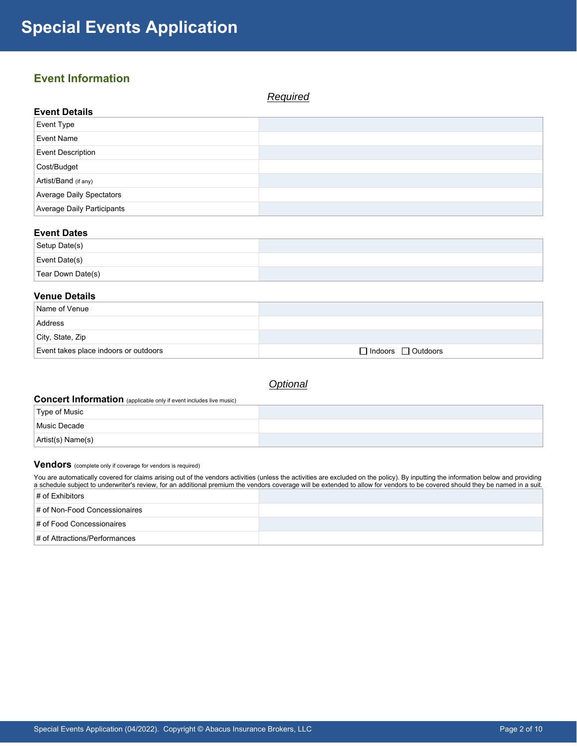# **Event Information**

*Required*  **Event Details**  Event Type Event Name Event Description Cost/Budget Artist/Band (if any) Average Daily Spectators Average Daily Participants

## **Event Dates**

| Setup Date(s)         |  |
|-----------------------|--|
| $\vert$ Event Date(s) |  |
| Tear Down Date(s)     |  |

#### **Venue Details**

| Name of Venue                         |                                |
|---------------------------------------|--------------------------------|
| Address                               |                                |
| City, State, Zip                      |                                |
| Event takes place indoors or outdoors | $\Box$ Indoors $\Box$ Outdoors |

*Optional* 

# **Concert Information** (applicable only if event includes live music)

| Type of Music         |  |
|-----------------------|--|
| Music Decade          |  |
| $ $ Artist(s) Name(s) |  |

## **Vendors** (complete only if coverage for vendors is required)

You are automatically covered for claims arising out of the vendors activities (unless the activities are excluded on the policy). By inputting the information below and providing a schedule subject to underwriter's review, for an additional premium the vendors coverage will be extended to allow for vendors to be covered should they be named in a suit.  $\vert$  # of Exhibitors

| $+$ 01 EXHIDING $\overline{\phantom{a}}$ |  |
|------------------------------------------|--|
| # of Non-Food Concessionaires            |  |
| # of Food Concessionaires                |  |
| $\#$ of Attractions/Performances         |  |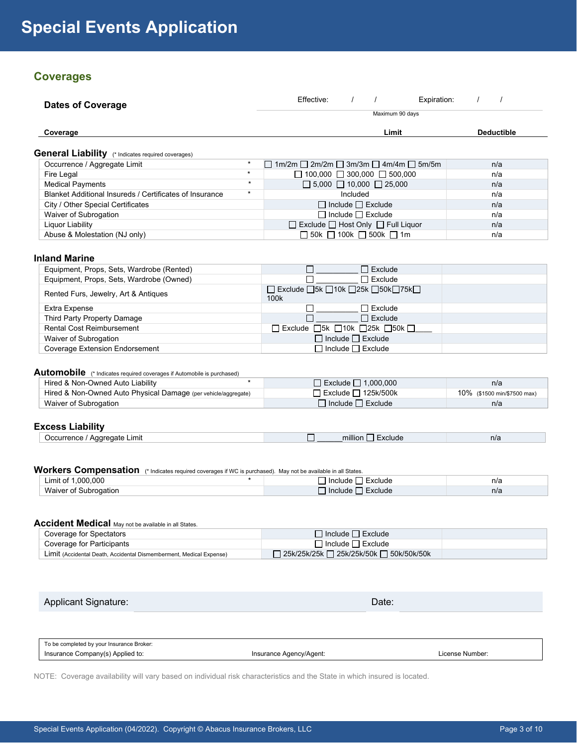# **Coverages**

| Dates of Coverage                                         |         | Effective:                                                       |          |                               | Expiration: |                   |
|-----------------------------------------------------------|---------|------------------------------------------------------------------|----------|-------------------------------|-------------|-------------------|
|                                                           |         |                                                                  |          | Maximum 90 days               |             |                   |
| Coverage                                                  |         |                                                                  |          | Limit                         |             | <b>Deductible</b> |
| <b>General Liability</b> (* Indicates required coverages) |         |                                                                  |          |                               |             |                   |
| Occurrence / Aggregate Limit                              | $\star$ | $\Box$ 1m/2m $\Box$ 2m/2m $\Box$ 3m/3m $\Box$ 4m/4m $\Box$ 5m/5m |          |                               |             | n/a               |
| Fire Legal                                                | $\star$ | $\Box$ 100,000 $\Box$ 300,000 $\Box$ 500,000                     |          |                               |             | n/a               |
| <b>Medical Payments</b>                                   | $\star$ | $\Box$ 5,000 $\Box$ 10,000 $\Box$ 25,000                         |          |                               |             | n/a               |
| Blanket Additional Insureds / Certificates of Insurance   | $\star$ |                                                                  | Included |                               |             | n/a               |
| City / Other Special Certificates                         |         |                                                                  |          | $\Box$ Include $\Box$ Exclude |             | n/a               |
| Waiver of Subrogation                                     |         |                                                                  |          | $\Box$ Include $\Box$ Exclude |             | n/a               |
| Liquor Liability                                          |         | $\Box$ Exclude $\Box$ Host Only $\Box$ Full Liquor               |          |                               |             | n/a               |
| Abuse & Molestation (NJ only)                             |         | $\Box$ 50k $\Box$ 100k $\Box$ 500k $\Box$ 1m                     |          |                               |             | n/a               |
|                                                           |         |                                                                  |          |                               |             |                   |
| <b>Inland Marine</b>                                      |         |                                                                  |          |                               |             |                   |
| Equipment, Props, Sets, Wardrobe (Rented)                 |         |                                                                  |          | $\Box$ Exclude                |             |                   |
| Equipment, Props, Sets, Wardrobe (Owned)                  |         |                                                                  |          | $\Box$ Exclude                |             |                   |

| Equipment, Flops, Sets, Waldrope (Owned) | T LAGUUT                                                                            |  |
|------------------------------------------|-------------------------------------------------------------------------------------|--|
| Rented Furs, Jewelry, Art & Antiques     | $\Box$ Exclude $\Box$ 5k $\Box$ 10k $\Box$ 25k $\Box$ 50k $\Box$ 75k $\Box$<br>100k |  |
| Extra Expense                            | $\sqcap$ Exclude                                                                    |  |
| Third Party Property Damage              | $\Box$ Exclude                                                                      |  |
| <b>Rental Cost Reimbursement</b>         | $\Box$ Exclude $\Box$ 5k $\Box$ 10k $\Box$ 25k $\Box$ 50k $\Box$                    |  |
| Waiver of Subrogation                    | $\Box$ Include $\Box$ Exclude                                                       |  |
| <b>Coverage Extension Endorsement</b>    | $\sqcap$ Include $\sqcap$ Exclude                                                   |  |

# Automobile (\* Indicates required coverages if Automobile is purchased)

| Hired & Non-Owned Auto Liability                               |                               | n/a                         |
|----------------------------------------------------------------|-------------------------------|-----------------------------|
| Hired & Non-Owned Auto Physical Damage (per vehicle/aggregate) | Exclude □ 125k/500k           | 10% (\$1500 min/\$7500 max) |
| Waiver of Subrogation                                          | $\Box$ Include $\Box$ Exclude | n/a                         |

#### **Excess Liability**

| .ımıt<br>$\sim$<br>ากลาย<br><br><br>$\cdots$ | 1.111<br>millik<br> | n/a |
|----------------------------------------------|---------------------|-----|
|                                              |                     |     |

## Workers Compensation (\* Indicates required coverages if WC is purchased). May not be available in all States.

| .000.000<br>Limit of  | Exclude<br>Include | n/a |
|-----------------------|--------------------|-----|
| Waiver<br>subrogation | Exclude<br>Include | n/a |

#### **Accident Medical** May not be available in all States.

| Coverage for Spectators                                             |                                           |  |
|---------------------------------------------------------------------|-------------------------------------------|--|
| Coverage for Participants                                           | l Include  _  Exclude                     |  |
| Limit (Accidental Death, Accidental Dismemberment, Medical Expense) | ] 25k/25k/25k □ 25k/25k/50k □ 50k/50k/50k |  |

# Applicant Signature: Date: Date: Date: Date: Date: Date: Date: Date: Date: Date: Date: Date: Date: Date: Date: Date: Date: Date: Date: Date: Date: Date: Date: Date: Date: Date: Date: Date: Date: Date: Date: Date: Date: Dat

| To be completed by your Insurance Broker: |                         |                 |
|-------------------------------------------|-------------------------|-----------------|
| Insurance Company(s) Applied to:          | Insurance Agency/Agent: | License Number: |

NOTE: Coverage availability will vary based on individual risk characteristics and the State in which insured is located.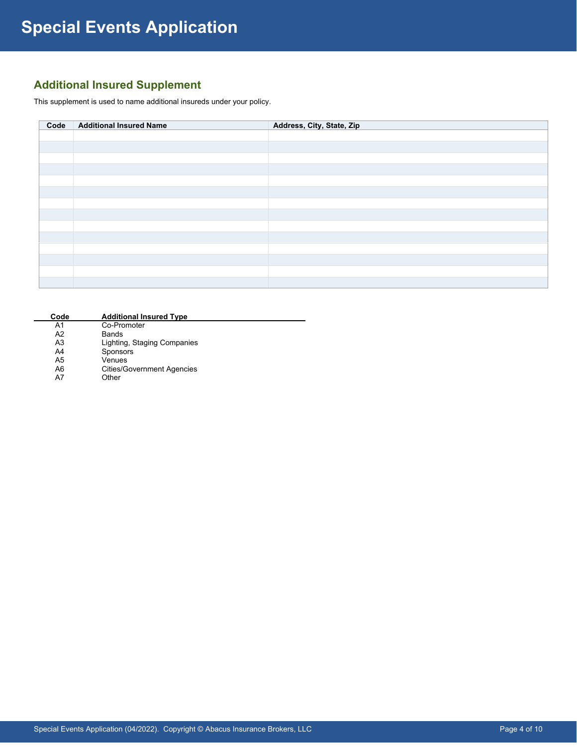# **Additional Insured Supplement**

This supplement is used to name additional insureds under your policy.

| Code | <b>Additional Insured Name</b> | Address, City, State, Zip |
|------|--------------------------------|---------------------------|
|      |                                |                           |
|      |                                |                           |
|      |                                |                           |
|      |                                |                           |
|      |                                |                           |
|      |                                |                           |
|      |                                |                           |
|      |                                |                           |
|      |                                |                           |
|      |                                |                           |
|      |                                |                           |
|      |                                |                           |
|      |                                |                           |
|      |                                |                           |

| Code           | <b>Additional Insured Type</b>    |  |
|----------------|-----------------------------------|--|
| A1             | Co-Promoter                       |  |
| A <sub>2</sub> | Bands                             |  |
| A3             | Lighting, Staging Companies       |  |
| A4             | <b>Sponsors</b>                   |  |
| A5             | Venues                            |  |
| A6             | <b>Cities/Government Agencies</b> |  |
| A7             | Other                             |  |
|                |                                   |  |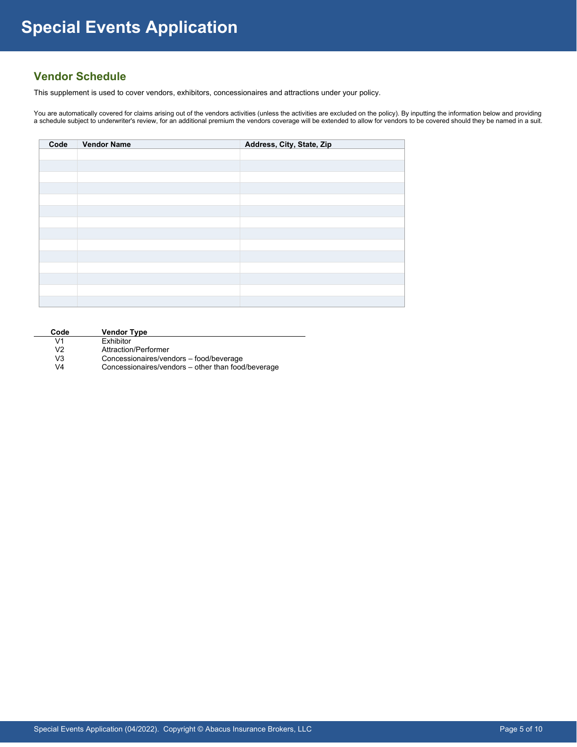# **Vendor Schedule**

This supplement is used to cover vendors, exhibitors, concessionaires and attractions under your policy.

You are automatically covered for claims arising out of the vendors activities (unless the activities are excluded on the policy). By inputting the information below and providing a schedule subject to underwriter's review, for an additional premium the vendors coverage will be extended to allow for vendors to be covered should they be named in a suit.

| Code | <b>Vendor Name</b> | Address, City, State, Zip |
|------|--------------------|---------------------------|
|      |                    |                           |
|      |                    |                           |
|      |                    |                           |
|      |                    |                           |
|      |                    |                           |
|      |                    |                           |
|      |                    |                           |
|      |                    |                           |
|      |                    |                           |
|      |                    |                           |
|      |                    |                           |
|      |                    |                           |
|      |                    |                           |
|      |                    |                           |

| Code           | <b>Vendor Type</b>                                 |
|----------------|----------------------------------------------------|
| V1             | <b>Exhibitor</b>                                   |
| V <sub>2</sub> | Attraction/Performer                               |
| V <sub>3</sub> | Concessionaires/vendors - food/beverage            |
| V <sub>4</sub> | Concessionaires/vendors – other than food/beverage |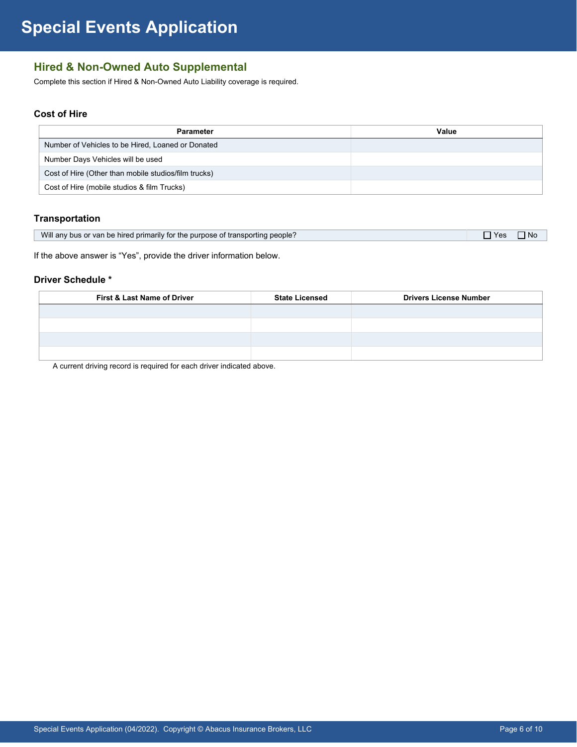# **Hired & Non-Owned Auto Supplemental**

Complete this section if Hired & Non-Owned Auto Liability coverage is required.

# **Cost of Hire**

| <b>Parameter</b>                                     | Value |
|------------------------------------------------------|-------|
| Number of Vehicles to be Hired, Loaned or Donated    |       |
| Number Days Vehicles will be used                    |       |
| Cost of Hire (Other than mobile studios/film trucks) |       |
| Cost of Hire (mobile studios & film Trucks)          |       |

## **Transportation**

| Will any bus or van be hired primarily for the purpose of transporting people?<br><b>Yes</b><br>N0 |
|----------------------------------------------------------------------------------------------------|
|----------------------------------------------------------------------------------------------------|

If the above answer is "Yes", provide the driver information below.

#### **Driver Schedule \***

| First & Last Name of Driver | <b>State Licensed</b> | <b>Drivers License Number</b> |
|-----------------------------|-----------------------|-------------------------------|
|                             |                       |                               |
|                             |                       |                               |
|                             |                       |                               |
|                             |                       |                               |

A current driving record is required for each driver indicated above.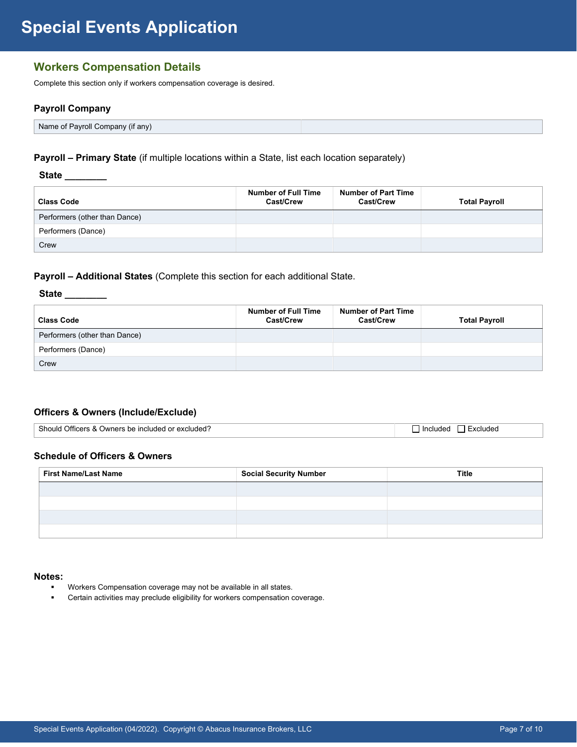# **Special Events Application**

# **Workers Compensation Details**

Complete this section only if workers compensation coverage is desired.

## **Payroll Company**

Name of Payroll Company (if any)

## **Payroll – Primary State** (if multiple locations within a State, list each location separately)

#### **State \_\_\_\_\_\_\_\_**

| <b>Class Code</b>             | <b>Number of Full Time</b><br>Cast/Crew | <b>Number of Part Time</b><br><b>Cast/Crew</b> | <b>Total Payroll</b> |
|-------------------------------|-----------------------------------------|------------------------------------------------|----------------------|
| Performers (other than Dance) |                                         |                                                |                      |
| Performers (Dance)            |                                         |                                                |                      |
| Crew                          |                                         |                                                |                      |

## **Payroll – Additional States** (Complete this section for each additional State.

## **State \_\_\_\_\_\_\_\_**

| <b>Class Code</b>             | <b>Number of Full Time</b><br><b>Cast/Crew</b> | <b>Number of Part Time</b><br><b>Cast/Crew</b> | <b>Total Payroll</b> |
|-------------------------------|------------------------------------------------|------------------------------------------------|----------------------|
| Performers (other than Dance) |                                                |                                                |                      |
| Performers (Dance)            |                                                |                                                |                      |
| Crew                          |                                                |                                                |                      |

## **Officers & Owners (Include/Exclude)**

| Should<br>√ Owners be included or excluded?<br>Officers &<br>scluded.<br>Included |
|-----------------------------------------------------------------------------------|
|-----------------------------------------------------------------------------------|

## **Schedule of Officers & Owners**

| <b>First Name/Last Name</b> | <b>Social Security Number</b> | Title |
|-----------------------------|-------------------------------|-------|
|                             |                               |       |
|                             |                               |       |
|                             |                               |       |
|                             |                               |       |

#### **Notes:**

- Workers Compensation coverage may not be available in all states.
- **EXECTE EXECTE EXECTE FOR EXECTE FOR EXECTE FOR EXECTE FOR EXECTE FOR EXECTE FOR EXECTE FOR EXECTE FOR EXECTE FOR EXECTE FOR EXECTE FOR EXECTE FOR EXECTE FOR EXECTE FOR EXECTE FOR EXECTE FOR EXECTE FOR EXECTE FOR EXECTE FO**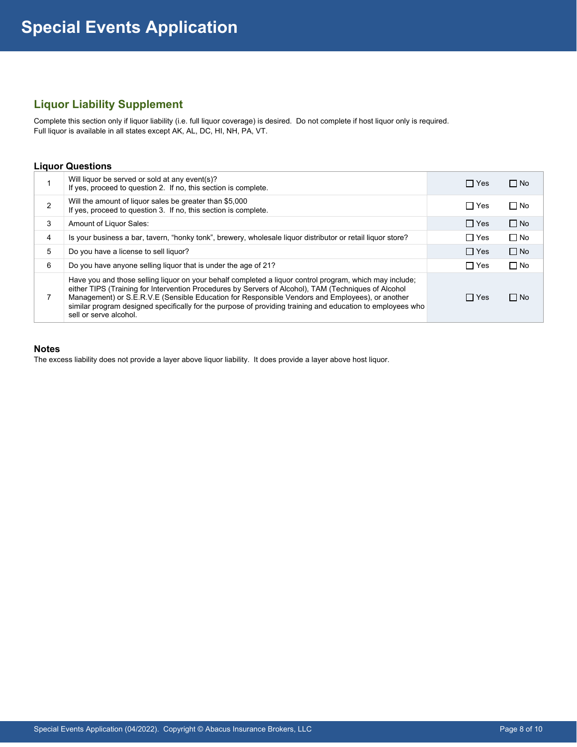# **Liquor Liability Supplement**

Complete this section only if liquor liability (i.e. full liquor coverage) is desired. Do not complete if host liquor only is required. Full liquor is available in all states except AK, AL, DC, HI, NH, PA, VT.

#### **Liquor Questions**

|   | Will liquor be served or sold at any event(s)?<br>If yes, proceed to question 2. If no, this section is complete.                                                                                                                                                                                                                                                                                                                                          | $\Box$ Yes | $\Box$ No |
|---|------------------------------------------------------------------------------------------------------------------------------------------------------------------------------------------------------------------------------------------------------------------------------------------------------------------------------------------------------------------------------------------------------------------------------------------------------------|------------|-----------|
| 2 | Will the amount of liquor sales be greater than \$5,000<br>If yes, proceed to question 3. If no, this section is complete.                                                                                                                                                                                                                                                                                                                                 | $\Box$ Yes | $\Box$ No |
| 3 | Amount of Liquor Sales:                                                                                                                                                                                                                                                                                                                                                                                                                                    | $\Box$ Yes | $\Box$ No |
| 4 | Is your business a bar, tavern, "honky tonk", brewery, wholesale liquor distributor or retail liquor store?                                                                                                                                                                                                                                                                                                                                                | $\Box$ Yes | $\Box$ No |
| 5 | Do you have a license to sell liquor?                                                                                                                                                                                                                                                                                                                                                                                                                      | $\Box$ Yes | $\Box$ No |
| 6 | Do you have anyone selling liquor that is under the age of 21?                                                                                                                                                                                                                                                                                                                                                                                             | $\Box$ Yes | $\Box$ No |
|   | Have you and those selling liguor on your behalf completed a liguor control program, which may include;<br>either TIPS (Training for Intervention Procedures by Servers of Alcohol), TAM (Techniques of Alcohol<br>Management) or S.E.R.V.E (Sensible Education for Responsible Vendors and Employees), or another<br>similar program designed specifically for the purpose of providing training and education to employees who<br>sell or serve alcohol. | $\Box$ Yes | $\Box$ No |

## **Notes**

The excess liability does not provide a layer above liquor liability. It does provide a layer above host liquor.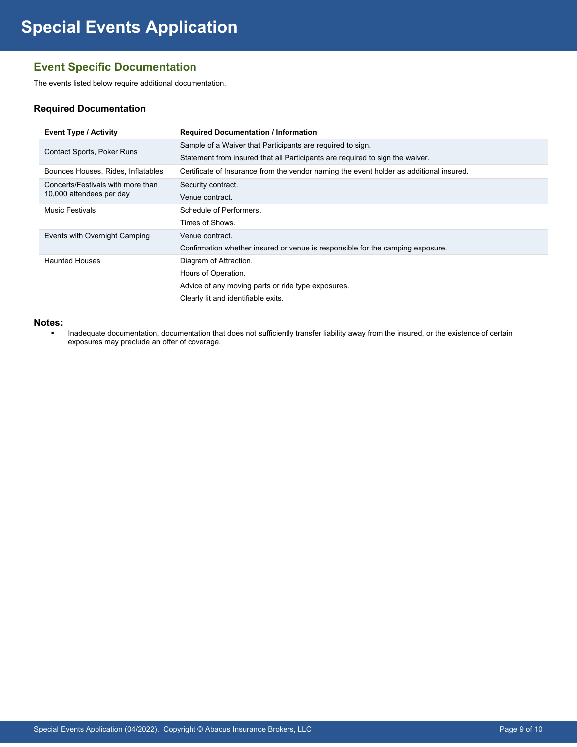# **Event Specific Documentation**

The events listed below require additional documentation.

## **Required Documentation**

| <b>Event Type / Activity</b>                                  | <b>Required Documentation / Information</b>                                             |
|---------------------------------------------------------------|-----------------------------------------------------------------------------------------|
| Contact Sports, Poker Runs                                    | Sample of a Waiver that Participants are required to sign.                              |
|                                                               | Statement from insured that all Participants are required to sign the waiver.           |
| Bounces Houses, Rides, Inflatables                            | Certificate of Insurance from the vendor naming the event holder as additional insured. |
| Concerts/Festivals with more than<br>10,000 attendees per day | Security contract.                                                                      |
|                                                               | Venue contract.                                                                         |
| <b>Music Festivals</b>                                        | Schedule of Performers.                                                                 |
|                                                               | Times of Shows.                                                                         |
| Events with Overnight Camping                                 | Venue contract.                                                                         |
|                                                               | Confirmation whether insured or venue is responsible for the camping exposure.          |
| <b>Haunted Houses</b>                                         | Diagram of Attraction.                                                                  |
|                                                               | Hours of Operation.                                                                     |
|                                                               | Advice of any moving parts or ride type exposures.                                      |
|                                                               | Clearly lit and identifiable exits.                                                     |

#### **Notes:**

**Inadequate documentation, documentation that does not sufficiently transfer liability away from the insured, or the existence of certain** exposures may preclude an offer of coverage.